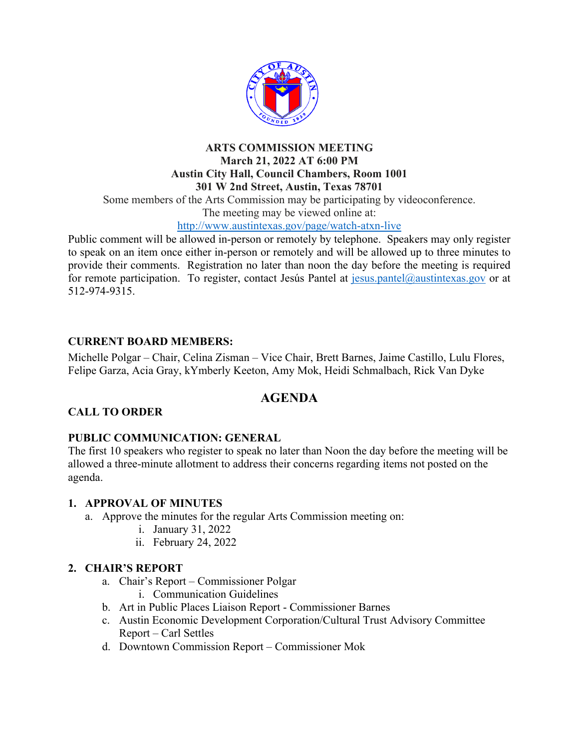

#### **ARTS COMMISSION MEETING March 21, 2022 AT 6:00 PM Austin City Hall, Council Chambers, Room 1001 301 W 2nd Street, Austin, Texas 78701**

Some members of the Arts Commission may be participating by videoconference.

The meeting may be viewed online at:

#### http://www.austintexas.gov/page/watch-atxn-live

Public comment will be allowed in-person or remotely by telephone. Speakers may only register to speak on an item once either in-person or remotely and will be allowed up to three minutes to provide their comments. Registration no later than noon the day before the meeting is required for remote participation. To register, contact Jesús Pantel at jesus.pantel@austintexas.gov or at 512-974-9315.

## **CURRENT BOARD MEMBERS:**

Michelle Polgar – Chair, Celina Zisman – Vice Chair, Brett Barnes, Jaime Castillo, Lulu Flores, Felipe Garza, Acia Gray, kYmberly Keeton, Amy Mok, Heidi Schmalbach, Rick Van Dyke

# **AGENDA**

## **CALL TO ORDER**

## **PUBLIC COMMUNICATION: GENERAL**

The first 10 speakers who register to speak no later than Noon the day before the meeting will be allowed a three-minute allotment to address their concerns regarding items not posted on the agenda.

#### **1. APPROVAL OF MINUTES**

- a. Approve the minutes for the regular Arts Commission meeting on:
	- i. January 31, 2022
	- ii. February 24, 2022

## **2. CHAIR'S REPORT**

- a. Chair's Report Commissioner Polgar
	- i. Communication Guidelines
- b. Art in Public Places Liaison Report Commissioner Barnes
- c. Austin Economic Development Corporation/Cultural Trust Advisory Committee Report – Carl Settles
- d. Downtown Commission Report Commissioner Mok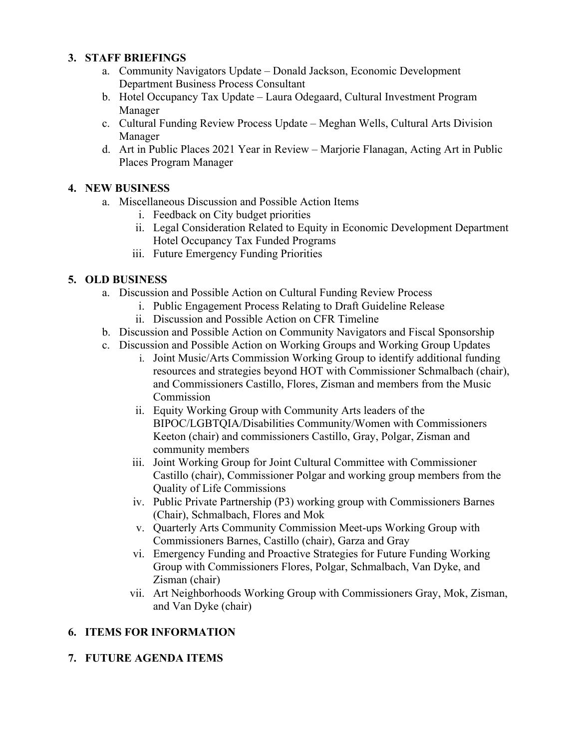#### **3. STAFF BRIEFINGS**

- a. Community Navigators Update Donald Jackson, Economic Development Department Business Process Consultant
- b. Hotel Occupancy Tax Update Laura Odegaard, Cultural Investment Program Manager
- c. Cultural Funding Review Process Update Meghan Wells, Cultural Arts Division Manager
- d. Art in Public Places 2021 Year in Review Marjorie Flanagan, Acting Art in Public Places Program Manager

#### **4. NEW BUSINESS**

- a. Miscellaneous Discussion and Possible Action Items
	- i. Feedback on City budget priorities
	- ii. Legal Consideration Related to Equity in Economic Development Department Hotel Occupancy Tax Funded Programs
	- iii. Future Emergency Funding Priorities

## **5. OLD BUSINESS**

- a. Discussion and Possible Action on Cultural Funding Review Process
	- i. Public Engagement Process Relating to Draft Guideline Release
	- ii. Discussion and Possible Action on CFR Timeline
- b. Discussion and Possible Action on Community Navigators and Fiscal Sponsorship
- c. Discussion and Possible Action on Working Groups and Working Group Updates
	- i. Joint Music/Arts Commission Working Group to identify additional funding resources and strategies beyond HOT with Commissioner Schmalbach (chair), and Commissioners Castillo, Flores, Zisman and members from the Music Commission
	- ii. Equity Working Group with Community Arts leaders of the BIPOC/LGBTQIA/Disabilities Community/Women with Commissioners Keeton (chair) and commissioners Castillo, Gray, Polgar, Zisman and community members
	- iii. Joint Working Group for Joint Cultural Committee with Commissioner Castillo (chair), Commissioner Polgar and working group members from the Quality of Life Commissions
	- iv. Public Private Partnership (P3) working group with Commissioners Barnes (Chair), Schmalbach, Flores and Mok
	- v. Quarterly Arts Community Commission Meet-ups Working Group with Commissioners Barnes, Castillo (chair), Garza and Gray
	- vi. Emergency Funding and Proactive Strategies for Future Funding Working Group with Commissioners Flores, Polgar, Schmalbach, Van Dyke, and Zisman (chair)
	- vii. Art Neighborhoods Working Group with Commissioners Gray, Mok, Zisman, and Van Dyke (chair)

## **6. ITEMS FOR INFORMATION**

## **7. FUTURE AGENDA ITEMS**